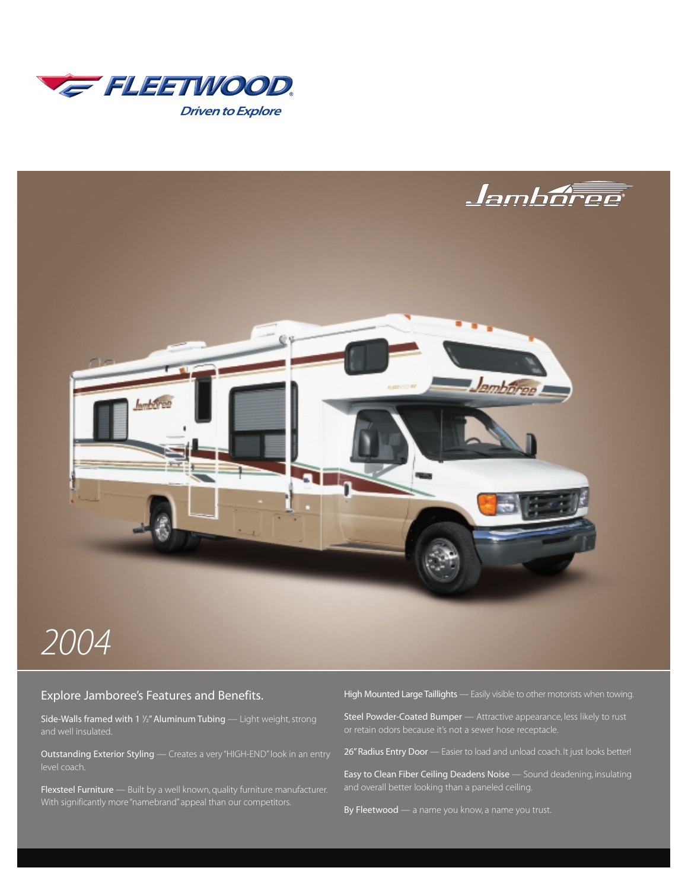



### Explore Jamboree's Features and Benefits.

**Side-Walls framed with 1 ½" Aluminum Tubing** — Light weight, strong and well insulated.

Outstanding Exterior Styling — Creates a very "HIGH-END" look in an entry

Flexsteel Furniture - Built by a well known, quality furniture manufacturer.

High Mounted Large Taillights — Easily visible to other motorists when towing.

Steel Powder-Coated Bumper — Attractive appearance, less likely to rust

26" Radius Entry Door — Easier to load and unload coach. It just looks better!

Easy to Clean Fiber Ceiling Deadens Noise — Sound deadening, insulating

By Fleetwood — a name you know, a name you trust.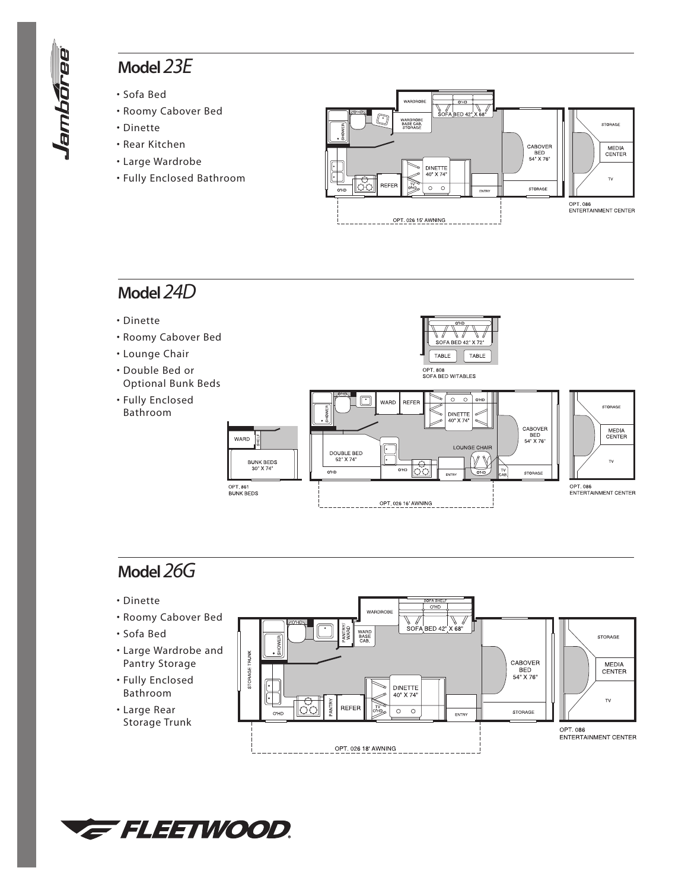## **Model***23E*

- Sofa Bed
- Roomy Cabover Bed
- Dinette
- Rear Kitchen
- Large Wardrobe
- Fully Enclosed Bathroom



# **Model***24D*

- Dinette
- Roomy Cabover Bed
- Lounge Chair
- Double Bed or Optional Bunk Beds
- Fully Enclosed Bathroom



# **Model***26G*

- Dinette
- Roomy Cabover Bed
- Sofa Bed
- Large Wardrobe and Pantry Storage
- Fully Enclosed Bathroom
- Large Rear Storage Trunk



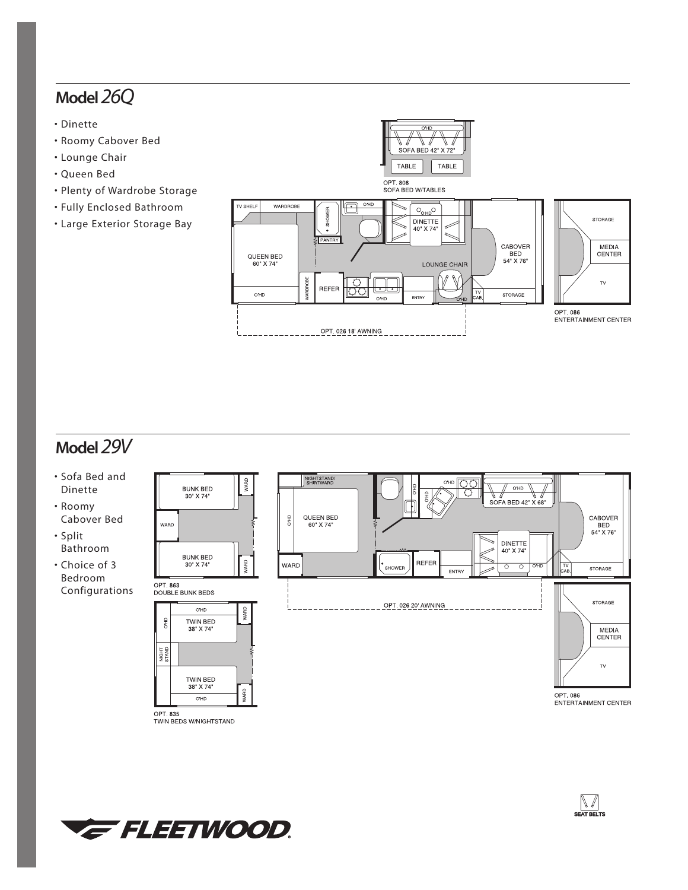## **Model***26Q*

- Dinette
- Roomy Cabover Bed
- Lounge Chair
- Queen Bed
- Plenty of Wardrobe Storage
- Fully Enclosed Bathroom
- Large Exterior Storage Bay



## **Model***29V*

- Sofa Bed and Dinette
- Roomy Cabover Bed
- Split Bathroom
- Choice of 3 Bedroom Configurations



OPT. 835<br>TWIN BEDS W/NIGHTSTAND

WARD

OPT. 863

Ĕ

NIGHT<br>STAND



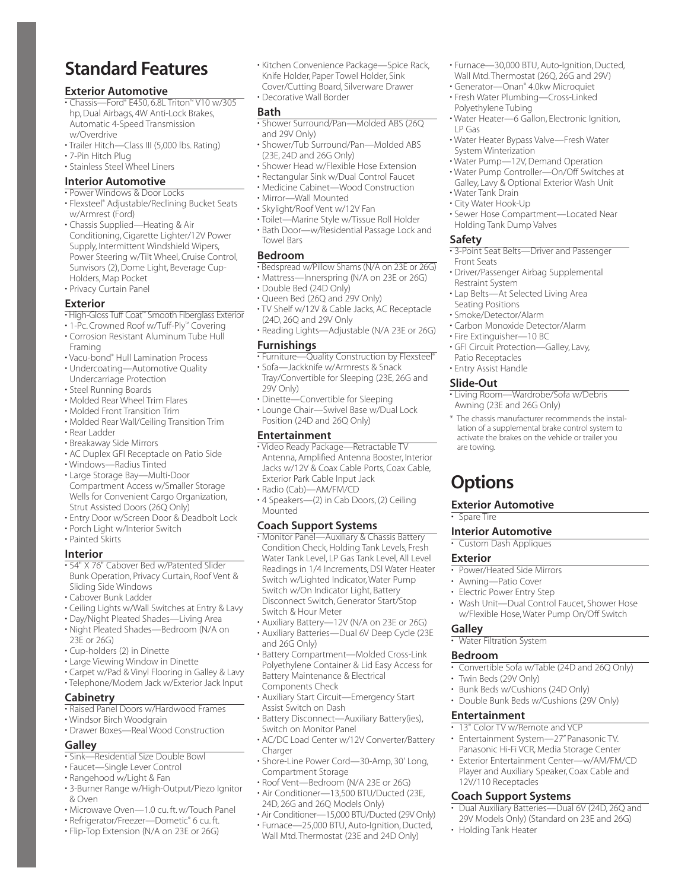# **Standard Features**

#### **Exterior Automotive**

- Chassis—Ford® E450, 6.8L Triton™ V10 w/305 hp, Dual Airbags, 4W Anti-Lock Brakes, Automatic 4-Speed Transmission w/Overdrive
- Trailer Hitch—Class III (5,000 lbs. Rating)
- 7-Pin Hitch Plug
- Stainless Steel Wheel Liners

#### **Interior Automotive**

- Power Windows & Door Locks
- Flexsteel® Adjustable/Reclining Bucket Seats w/Armrest (Ford)
- Chassis Supplied—Heating & Air Conditioning, Cigarette Lighter/12V Power Supply, Intermittent Windshield Wipers, Power Steering w/Tilt Wheel, Cruise Control, Sunvisors (2), Dome Light, Beverage Cup-Holders, Map Pocket
- Privacy Curtain Panel

#### **Exterior**

- High-Gloss Tuff Coat™ Smooth Fiberglass Exterior
- 1-Pc. Crowned Roof w/Tuff-Ply™ Covering
- Corrosion Resistant Aluminum Tube Hull Framing
- Vacu-bond® Hull Lamination Process
- Undercoating—Automotive Quality Undercarriage Protection
- Steel Running Boards
- Molded Rear Wheel Trim Flares
- Molded Front Transition Trim
- Molded Rear Wall/Ceiling Transition Trim
- Rear Ladder
- Breakaway Side Mirrors
- AC Duplex GFI Receptacle on Patio Side
- Windows—Radius Tinted
- Large Storage Bay—Multi-Door Compartment Access w/Smaller Storage Wells for Convenient Cargo Organization, Strut Assisted Doors (26Q Only)
- Entry Door w/Screen Door & Deadbolt Lock
- Porch Light w/Interior Switch
- Painted Skirts

#### **Interior**

- 54" X 76" Cabover Bed w/Patented Slider Bunk Operation, Privacy Curtain, Roof Vent & Sliding Side Windows
- Cabover Bunk Ladder
- Ceiling Lights w/Wall Switches at Entry & Lavy
- Day/Night Pleated Shades—Living Area
- Night Pleated Shades—Bedroom (N/A on 23E or 26G)
- Cup-holders (2) in Dinette
- Large Viewing Window in Dinette
- Carpet w/Pad & Vinyl Flooring in Galley & Lavy
- Telephone/Modem Jack w/Exterior Jack Input

#### **Cabinetry**

- Raised Panel Doors w/Hardwood Frames
- Windsor Birch Woodgrain
- Drawer Boxes—Real Wood Construction

#### **Galley**

- Sink—Residential Size Double Bowl
- Faucet—Single Lever Control
- Rangehood w/Light & Fan
- 3-Burner Range w/High-Output/Piezo Ignitor & Oven
- Microwave Oven—1.0 cu. ft. w/Touch Panel
- Refrigerator/Freezer—Dometic® 6 cu. ft.
- Flip-Top Extension (N/A on 23E or 26G)

• Kitchen Convenience Package—Spice Rack, Knife Holder, Paper Towel Holder, Sink Cover/Cutting Board, Silverware Drawer • Decorative Wall Border

#### **Bath**

- Shower Surround/Pan—Molded ABS (26Q and 29V Only)
- Shower/Tub Surround/Pan—Molded ABS (23E, 24D and 26G Only)
- Shower Head w/Flexible Hose Extension
- Rectangular Sink w/Dual Control Faucet
- Medicine Cabinet—Wood Construction
- Mirror—Wall Mounted
- Skylight/Roof Vent w/12V Fan
- Toilet—Marine Style w/Tissue Roll Holder
- Bath Door—w/Residential Passage Lock and Towel Bars

#### **Bedroom**

- Bedspread w/Pillow Shams (N/A on 23E or 26G) • Mattress—Innerspring (N/A on 23E or 26G)
- Double Bed (24D Only)
- Queen Bed (26Q and 29V Only)
- TV Shelf w/12V & Cable Jacks, AC Receptacle (24D, 26Q and 29V Only
- Reading Lights—Adjustable (N/A 23E or 26G)

#### **Furnishings**

- Furniture—Quality Construction by Flexsteel®
- Sofa—Jackknife w/Armrests & Snack Tray/Convertible for Sleeping (23E, 26G and 29V Only)
- Dinette—Convertible for Sleeping
- Lounge Chair—Swivel Base w/Dual Lock Position (24D and 26Q Only)

#### **Entertainment**

- Video Ready Package—Retractable TV Antenna, Amplified Antenna Booster, Interior Jacks w/12V & Coax Cable Ports, Coax Cable, Exterior Park Cable Input Jack
- Radio (Cab)—AM/FM/CD
- 4 Speakers—(2) in Cab Doors, (2) Ceiling Mounted

#### **Coach Support Systems**

• Monitor Panel—Auxiliary & Chassis Battery Condition Check, Holding Tank Levels, Fresh Water Tank Level, LP Gas Tank Level, All Level Readings in 1/4 Increments, DSI Water Heater Switch w/Lighted Indicator, Water Pump Switch w/On Indicator Light, Battery Disconnect Switch, Generator Start/Stop Switch & Hour Meter

- Auxiliary Battery—12V (N/A on 23E or 26G)
- Auxiliary Batteries—Dual 6V Deep Cycle (23E and 26G Only)
- Battery Compartment—Molded Cross-Link Polyethylene Container & Lid Easy Access for Battery Maintenance & Electrical Components Check
- Auxiliary Start Circuit—Emergency Start Assist Switch on Dash
- Battery Disconnect—Auxiliary Battery(ies), Switch on Monitor Panel
- AC/DC Load Center w/12V Converter/Battery Charger
- Shore-Line Power Cord—30-Amp, 30' Long, Compartment Storage
- Roof Vent—Bedroom (N/A 23E or 26G)
- Air Conditioner—13,500 BTU/Ducted (23E, 24D, 26G and 26Q Models Only)
- Air Conditioner—15,000 BTU/Ducted (29V Only)
- Furnace—25,000 BTU, Auto-Ignition, Ducted, Wall Mtd. Thermostat (23E and 24D Only)
- Furnace—30,000 BTU, Auto-Ignition, Ducted, Wall Mtd. Thermostat (26Q, 26G and 29V)
- Generator—Onan® 4.0kw Microquiet
- Fresh Water Plumbing—Cross-Linked Polyethylene Tubing
- Water Heater—6 Gallon, Electronic Ignition, LP Gas
- Water Heater Bypass Valve—Fresh Water System Winterization
- Water Pump—12V, Demand Operation
- Water Pump Controller—On/Off Switches at Galley, Lavy & Optional Exterior Wash Unit
- Water Tank Drain
- City Water Hook-Up

**Safety**

Front Seats

Restraint System

Seating Positions • Smoke/Detector/Alarm

Patio Receptacles • Entry Assist Handle **Slide-Out**

are towing.

**Options**

**Spare Tire** 

**Exterior**

**Galley**

**Bedroom**

• Sewer Hose Compartment—Located Near Holding Tank Dump Valves

• 3-Point Seat Belts—Driver and Passenger

• Driver/Passenger Airbag Supplemental

• Lap Belts—At Selected Living Area

• Carbon Monoxide Detector/Alarm • Fire Extinguisher—10 BC

• GFI Circuit Protection—Galley, Lavy,

• Living Room—Wardrobe/Sofa w/Debris

\* The chassis manufacturer recommends the installation of a supplemental brake control system to activate the brakes on the vehicle or trailer you

• Wash Unit—Dual Control Faucet, Shower Hose w/Flexible Hose, Water Pump On/Off Switch

• Convertible Sofa w/Table (24D and 26Q Only)

• Dual Auxiliary Batteries—Dual 6V (24D, 26Q and 29V Models Only) (Standard on 23E and 26G)

Awning (23E and 26G Only)

**Exterior Automotive**

**Interior Automotive**  • Custom Dash Appliques

• Power/Heated Side Mirrors • Awning—Patio Cover • Electric Power Entry Step

• Water Filtration System

• Twin Beds (29V Only)

**Entertainment**

12V/110 Receptacles **Coach Support Systems**

• Holding Tank Heater

• Bunk Beds w/Cushions (24D Only) • Double Bunk Beds w/Cushions (29V Only)

• 13" Color TV w/Remote and VCP • Entertainment System—27" Panasonic TV. Panasonic Hi-Fi VCR, Media Storage Center • Exterior Entertainment Center—w/AM/FM/CD Player and Auxiliary Speaker, Coax Cable and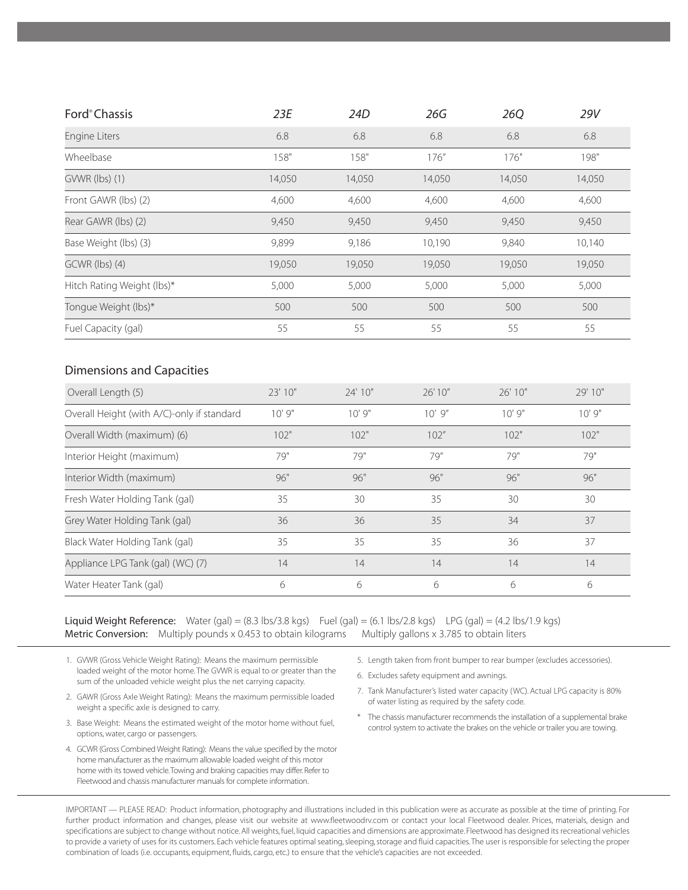| Ford <sup>®</sup> Chassis                              | 23E     | 24D     | 26G      | <b>26Q</b> | 29V     |
|--------------------------------------------------------|---------|---------|----------|------------|---------|
| Engine Liters                                          | 6.8     | 6.8     | 6.8      | 6.8        | 6.8     |
| Wheelbase                                              | 158"    | 158"    | 176"     | 176"       | 198"    |
| GVWR (lbs) (1)                                         | 14,050  | 14,050  | 14,050   | 14,050     | 14,050  |
| Front GAWR (lbs) (2)                                   | 4,600   | 4,600   | 4,600    | 4,600      | 4,600   |
| Rear GAWR (lbs) (2)                                    | 9,450   | 9,450   | 9,450    | 9,450      | 9,450   |
| Base Weight (lbs) (3)                                  | 9,899   | 9,186   | 10,190   | 9,840      | 10,140  |
| GCWR (lbs) (4)                                         | 19,050  | 19,050  | 19,050   | 19,050     | 19,050  |
| Hitch Rating Weight (lbs)*                             | 5,000   | 5,000   | 5,000    | 5,000      | 5,000   |
| Tonque Weight (lbs)*                                   | 500     | 500     | 500      | 500        | 500     |
| Fuel Capacity (gal)                                    | 55      | 55      | 55       | 55         | 55      |
| <b>Dimensions and Capacities</b><br>Overall Length (5) | 23' 10" | 24' 10" | 26'10"   | 26' 10"    | 29' 10" |
| Overall Height (with A/C)-only if standard             | 10'9''  | 10'9''  | $10'$ 9" | 10'9''     | 10'9''  |
| Overall Width (maximum) (6)                            | 102"    | 102"    | 102''    | 102"       | 102"    |
| Interior Height (maximum)                              | 79"     | 79"     | 79"      | 79"        | 79"     |
| Interior Width (maximum)                               | 96"     | 96"     | 96"      | 96"        | 96"     |
| Fresh Water Holding Tank (gal)                         | 35      | 30      | 35       | 30         | 30      |
| Grey Water Holding Tank (gal)                          | 36      | 36      | 35       | 34         | 37      |
| Black Water Holding Tank (gal)                         | 35      | 35      | 35       | 36         | 37      |
| Appliance LPG Tank (gal) (WC) (7)                      | 14      | 14      | 14       | 14         | 14      |
| Water Heater Tank (gal)                                | 6       | 6       | 6        | 6          | 6       |

Liquid Weight Reference: Water (gal) =  $(8.3 \text{ lbs}/3.8 \text{ kgs})$  Fuel (gal) =  $(6.1 \text{ lbs}/2.8 \text{ kgs})$  LPG (gal) =  $(4.2 \text{ lbs}/1.9 \text{ kgs})$ Metric Conversion: Multiply pounds x 0.453 to obtain kilograms Multiply gallons x 3.785 to obtain liters

- 1. GVWR (Gross Vehicle Weight Rating): Means the maximum permissible loaded weight of the motor home. The GVWR is equal to or greater than the sum of the unloaded vehicle weight plus the net carrying capacity.
- 2. GAWR (Gross Axle Weight Rating): Means the maximum permissible loaded weight a specific axle is designed to carry.
- 3. Base Weight: Means the estimated weight of the motor home without fuel, options, water, cargo or passengers.
- 4. GCWR (Gross Combined Weight Rating): Means the value specified by the motor home manufacturer as the maximum allowable loaded weight of this motor home with its towed vehicle.Towing and braking capacities may differ. Refer to Fleetwood and chassis manufacturer manuals for complete information.
- 5. Length taken from front bumper to rear bumper (excludes accessories).
- 6. Excludes safety equipment and awnings.
- 7. Tank Manufacturer's listed water capacity (WC). Actual LPG capacity is 80% of water listing as required by the safety code.
- \* The chassis manufacturer recommends the installation of a supplemental brake control system to activate the brakes on the vehicle or trailer you are towing.

IMPORTANT — PLEASE READ: Product information, photography and illustrations included in this publication were as accurate as possible at the time of printing. For further product information and changes, please visit our website at www.fleetwoodrv.com or contact your local Fleetwood dealer. Prices, materials, design and specifications are subject to change without notice. All weights, fuel, liquid capacities and dimensions are approximate. Fleetwood has designed its recreational vehicles to provide a variety of uses for its customers. Each vehicle features optimal seating, sleeping, storage and fluid capacities.The user is responsible for selecting the proper combination of loads (i.e. occupants, equipment, fluids, cargo, etc.) to ensure that the vehicle's capacities are not exceeded.